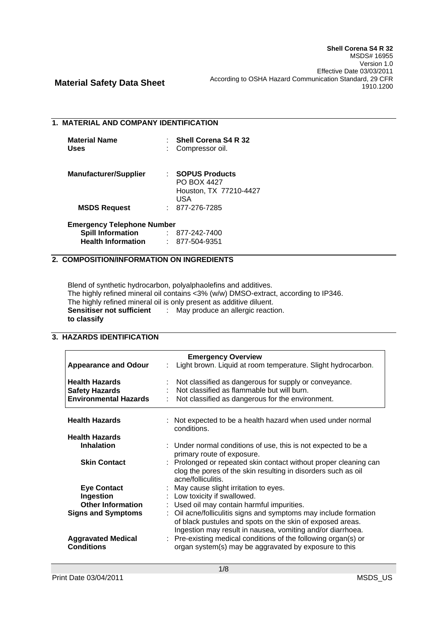### **1. MATERIAL AND COMPANY IDENTIFICATION**

| <b>Material Name</b> | $\therefore$ Shell Corena S4 R 32 |
|----------------------|-----------------------------------|
| <b>Uses</b>          | : Compressor oil.                 |

| <b>Manufacturer/Supplier</b> | : SOPUS Products       |
|------------------------------|------------------------|
|                              | <b>PO BOX 4427</b>     |
|                              | Houston, TX 77210-4427 |
|                              | USA                    |
| <b>MSDS Request</b>          | : 877-276-7285         |

### **Emergency Telephone Number Spill Information** : 877-242-7400

| Spill Information         | $811 - 242 - 1400$ |
|---------------------------|--------------------|
| <b>Health Information</b> | 877-504-9351       |

## **2. COMPOSITION/INFORMATION ON INGREDIENTS**

Blend of synthetic hydrocarbon, polyalphaolefins and additives. The highly refined mineral oil contains <3% (w/w) DMSO-extract, according to IP346. The highly refined mineral oil is only present as additive diluent. **Sensitiser not sufficient**  : May produce an allergic reaction. **to classify**

## **3. HAZARDS IDENTIFICATION**

| <b>Emergency Overview</b>                                                      |                                                                                                                                                                                           |  |  |  |
|--------------------------------------------------------------------------------|-------------------------------------------------------------------------------------------------------------------------------------------------------------------------------------------|--|--|--|
| <b>Appearance and Odour</b><br>÷.                                              | Light brown. Liquid at room temperature. Slight hydrocarbon.                                                                                                                              |  |  |  |
| <b>Health Hazards</b><br><b>Safety Hazards</b><br><b>Environmental Hazards</b> | Not classified as dangerous for supply or conveyance.<br>Not classified as flammable but will burn.<br>Not classified as dangerous for the environment.                                   |  |  |  |
| <b>Health Hazards</b>                                                          | : Not expected to be a health hazard when used under normal<br>conditions.                                                                                                                |  |  |  |
| <b>Health Hazards</b>                                                          |                                                                                                                                                                                           |  |  |  |
| <b>Inhalation</b>                                                              | : Under normal conditions of use, this is not expected to be a<br>primary route of exposure.                                                                                              |  |  |  |
| <b>Skin Contact</b>                                                            | : Prolonged or repeated skin contact without proper cleaning can<br>clog the pores of the skin resulting in disorders such as oil<br>acne/folliculitis.                                   |  |  |  |
| <b>Eye Contact</b>                                                             | : May cause slight irritation to eyes.                                                                                                                                                    |  |  |  |
| Ingestion                                                                      | : Low toxicity if swallowed.                                                                                                                                                              |  |  |  |
| <b>Other Information</b>                                                       | : Used oil may contain harmful impurities.                                                                                                                                                |  |  |  |
| <b>Signs and Symptoms</b>                                                      | Oil acne/folliculitis signs and symptoms may include formation<br>of black pustules and spots on the skin of exposed areas.<br>Ingestion may result in nausea, vomiting and/or diarrhoea. |  |  |  |
| <b>Aggravated Medical</b><br><b>Conditions</b>                                 | : Pre-existing medical conditions of the following organ(s) or<br>organ system(s) may be aggravated by exposure to this                                                                   |  |  |  |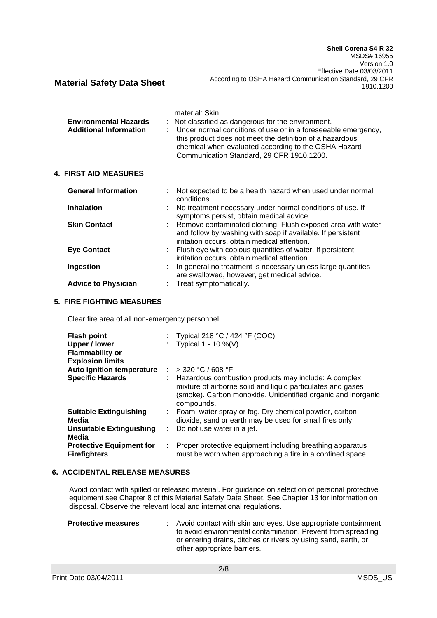| <b>Environmental Hazards</b><br><b>Additional Information</b> | material: Skin.<br>: Not classified as dangerous for the environment.<br>: Under normal conditions of use or in a foreseeable emergency,<br>this product does not meet the definition of a hazardous<br>chemical when evaluated according to the OSHA Hazard<br>Communication Standard, 29 CFR 1910.1200. |
|---------------------------------------------------------------|-----------------------------------------------------------------------------------------------------------------------------------------------------------------------------------------------------------------------------------------------------------------------------------------------------------|
| <b>4. FIRST AID MEASURES</b>                                  |                                                                                                                                                                                                                                                                                                           |
| <b>General Information</b>                                    | Not expected to be a health hazard when used under normal<br>conditions.                                                                                                                                                                                                                                  |
| <b>Inhalation</b>                                             | : No treatment necessary under normal conditions of use. If<br>symptoms persist, obtain medical advice.                                                                                                                                                                                                   |
| <b>Skin Contact</b>                                           | : Remove contaminated clothing. Flush exposed area with water<br>and follow by washing with soap if available. If persistent                                                                                                                                                                              |

|                            | and follow by washing with soap if available. If persistent    |
|----------------------------|----------------------------------------------------------------|
|                            | irritation occurs, obtain medical attention.                   |
| <b>Eye Contact</b>         | : Flush eye with copious quantities of water. If persistent    |
|                            | irritation occurs, obtain medical attention.                   |
| Ingestion                  | : In general no treatment is necessary unless large quantities |
|                            | are swallowed, however, get medical advice.                    |
| <b>Advice to Physician</b> | : Treat symptomatically.                                       |

### **5. FIRE FIGHTING MEASURES**

Clear fire area of all non-emergency personnel.

| <b>Flash point</b><br><b>Upper / lower</b><br><b>Flammability or</b><br><b>Explosion limits</b> |      | : Typical 218 °C / 424 °F (COC)<br>: Typical $1 - 10 \%$ (V)                                                                                                                                        |
|-------------------------------------------------------------------------------------------------|------|-----------------------------------------------------------------------------------------------------------------------------------------------------------------------------------------------------|
| Auto ignition temperature                                                                       |      | $>$ 320 °C / 608 °F                                                                                                                                                                                 |
| <b>Specific Hazards</b>                                                                         |      | : Hazardous combustion products may include: A complex<br>mixture of airborne solid and liquid particulates and gases<br>(smoke). Carbon monoxide. Unidentified organic and inorganic<br>compounds. |
| <b>Suitable Extinguishing</b>                                                                   | di s | Foam, water spray or fog. Dry chemical powder, carbon                                                                                                                                               |
| Media                                                                                           |      | dioxide, sand or earth may be used for small fires only.                                                                                                                                            |
| Unsuitable Extinguishing<br>Media                                                               | t.   | Do not use water in a jet.                                                                                                                                                                          |
| <b>Protective Equipment for</b><br><b>Firefighters</b>                                          | ÷.   | Proper protective equipment including breathing apparatus<br>must be worn when approaching a fire in a confined space.                                                                              |

### **6. ACCIDENTAL RELEASE MEASURES**

Avoid contact with spilled or released material. For guidance on selection of personal protective equipment see Chapter 8 of this Material Safety Data Sheet. See Chapter 13 for information on disposal. Observe the relevant local and international regulations.

| <b>Protective measures</b> | : Avoid contact with skin and eyes. Use appropriate containment<br>to avoid environmental contamination. Prevent from spreading<br>or entering drains, ditches or rivers by using sand, earth, or<br>other appropriate barriers. |
|----------------------------|----------------------------------------------------------------------------------------------------------------------------------------------------------------------------------------------------------------------------------|
|                            |                                                                                                                                                                                                                                  |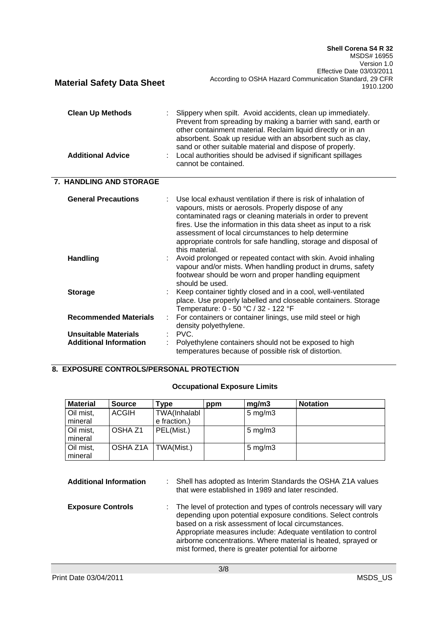| <b>Clean Up Methods</b><br><b>Additional Advice</b>          | Slippery when spilt. Avoid accidents, clean up immediately.<br>Prevent from spreading by making a barrier with sand, earth or<br>other containment material. Reclaim liquid directly or in an<br>absorbent. Soak up residue with an absorbent such as clay,<br>sand or other suitable material and dispose of properly.<br>Local authorities should be advised if significant spillages<br>cannot be contained. |
|--------------------------------------------------------------|-----------------------------------------------------------------------------------------------------------------------------------------------------------------------------------------------------------------------------------------------------------------------------------------------------------------------------------------------------------------------------------------------------------------|
| 7. HANDLING AND STORAGE                                      |                                                                                                                                                                                                                                                                                                                                                                                                                 |
| <b>General Precautions</b>                                   | Use local exhaust ventilation if there is risk of inhalation of<br>vapours, mists or aerosols. Properly dispose of any<br>contaminated rags or cleaning materials in order to prevent<br>fires. Use the information in this data sheet as input to a risk<br>assessment of local circumstances to help determine<br>appropriate controls for safe handling, storage and disposal of<br>this material.           |
| <b>Handling</b>                                              | Avoid prolonged or repeated contact with skin. Avoid inhaling<br>vapour and/or mists. When handling product in drums, safety<br>footwear should be worn and proper handling equipment<br>should be used.                                                                                                                                                                                                        |
| <b>Storage</b>                                               | Keep container tightly closed and in a cool, well-ventilated<br>place. Use properly labelled and closeable containers. Storage<br>Temperature: 0 - 50 °C / 32 - 122 °F                                                                                                                                                                                                                                          |
| <b>Recommended Materials</b>                                 | For containers or container linings, use mild steel or high<br>÷<br>density polyethylene.                                                                                                                                                                                                                                                                                                                       |
| <b>Unsuitable Materials</b><br><b>Additional Information</b> | PVC.<br>Polyethylene containers should not be exposed to high<br>temperatures because of possible risk of distortion.                                                                                                                                                                                                                                                                                           |

## **8. EXPOSURE CONTROLS/PERSONAL PROTECTION**

**Material Safety Data Sheet**

## **Occupational Exposure Limits**

| <b>Material</b> | <b>Source</b> | Type         | ppm | mg/m3              | <b>Notation</b> |
|-----------------|---------------|--------------|-----|--------------------|-----------------|
| Oil mist,       | <b>ACGIH</b>  | TWA(Inhalabl |     | $5 \text{ mg/m}$ 3 |                 |
| mineral         |               | e fraction.) |     |                    |                 |
| Oil mist,       | OSHA Z1       | PEL(Mist.)   |     | $5 \text{ mg/m}$ 3 |                 |
| mineral         |               |              |     |                    |                 |
| Oil mist,       | OSHA Z1A      | TWA(Mist.)   |     | $5 \text{ mg/m}$ 3 |                 |
| mineral         |               |              |     |                    |                 |

| <b>Additional Information</b> | : Shell has adopted as Interim Standards the OSHA Z1A values<br>that were established in 1989 and later rescinded.                                                                                                                                                                                                                                                                   |
|-------------------------------|--------------------------------------------------------------------------------------------------------------------------------------------------------------------------------------------------------------------------------------------------------------------------------------------------------------------------------------------------------------------------------------|
| <b>Exposure Controls</b>      | : The level of protection and types of controls necessary will vary<br>depending upon potential exposure conditions. Select controls<br>based on a risk assessment of local circumstances.<br>Appropriate measures include: Adequate ventilation to control<br>airborne concentrations. Where material is heated, sprayed or<br>mist formed, there is greater potential for airborne |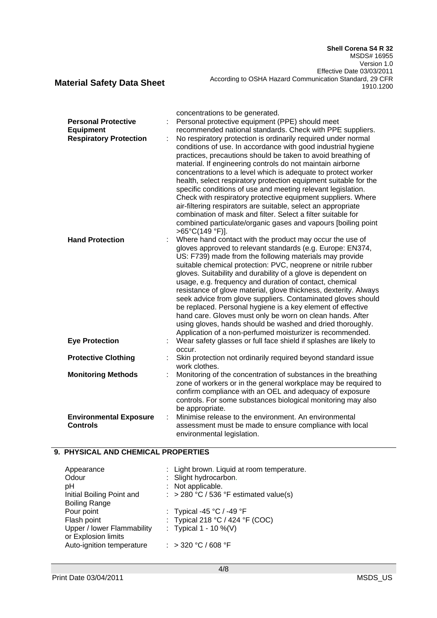**Shell Corena S4 R 32** MSDS# 16955 Version 1.0 Effective Date 03/03/2011 According to OSHA Hazard Communication Standard, 29 CFR 1910.1200

**Material Safety Data Sheet**

|                               | concentrations to be generated.                                   |
|-------------------------------|-------------------------------------------------------------------|
| <b>Personal Protective</b>    | Personal protective equipment (PPE) should meet                   |
| <b>Equipment</b>              | recommended national standards. Check with PPE suppliers.         |
| <b>Respiratory Protection</b> | No respiratory protection is ordinarily required under normal     |
|                               | conditions of use. In accordance with good industrial hygiene     |
|                               | practices, precautions should be taken to avoid breathing of      |
|                               | material. If engineering controls do not maintain airborne        |
|                               | concentrations to a level which is adequate to protect worker     |
|                               | health, select respiratory protection equipment suitable for the  |
|                               | specific conditions of use and meeting relevant legislation.      |
|                               | Check with respiratory protective equipment suppliers. Where      |
|                               | air-filtering respirators are suitable, select an appropriate     |
|                               | combination of mask and filter. Select a filter suitable for      |
|                               | combined particulate/organic gases and vapours [boiling point     |
|                               | $>65^{\circ}C(149^{\circ}F)$ ].                                   |
| <b>Hand Protection</b>        | Where hand contact with the product may occur the use of          |
|                               | gloves approved to relevant standards (e.g. Europe: EN374,        |
|                               | US: F739) made from the following materials may provide           |
|                               | suitable chemical protection: PVC, neoprene or nitrile rubber     |
|                               | gloves. Suitability and durability of a glove is dependent on     |
|                               | usage, e.g. frequency and duration of contact, chemical           |
|                               | resistance of glove material, glove thickness, dexterity. Always  |
|                               | seek advice from glove suppliers. Contaminated gloves should      |
|                               | be replaced. Personal hygiene is a key element of effective       |
|                               | hand care. Gloves must only be worn on clean hands. After         |
|                               | using gloves, hands should be washed and dried thoroughly.        |
|                               | Application of a non-perfumed moisturizer is recommended.         |
| <b>Eye Protection</b>         | Wear safety glasses or full face shield if splashes are likely to |
|                               | occur.                                                            |
| <b>Protective Clothing</b>    | Skin protection not ordinarily required beyond standard issue     |
|                               | work clothes.                                                     |
| <b>Monitoring Methods</b>     | Monitoring of the concentration of substances in the breathing    |
|                               | zone of workers or in the general workplace may be required to    |
|                               | confirm compliance with an OEL and adequacy of exposure           |
|                               | controls. For some substances biological monitoring may also      |
|                               | be appropriate.                                                   |
| <b>Environmental Exposure</b> | Minimise release to the environment. An environmental<br>÷        |
| <b>Controls</b>               | assessment must be made to ensure compliance with local           |
|                               |                                                                   |
|                               | environmental legislation.                                        |

## **9. PHYSICAL AND CHEMICAL PROPERTIES**

| Appearance<br>Odour<br>рH<br>Initial Boiling Point and | : Light brown. Liquid at room temperature.<br>: Slight hydrocarbon.<br>: Not applicable.<br>: > 280 °C / 536 °F estimated value(s) |
|--------------------------------------------------------|------------------------------------------------------------------------------------------------------------------------------------|
| <b>Boiling Range</b>                                   |                                                                                                                                    |
| Pour point                                             | : Typical -45 $^{\circ}$ C / -49 $^{\circ}$ F                                                                                      |
| Flash point                                            | : Typical 218 °C / 424 °F (COC)                                                                                                    |
| Upper / lower Flammability                             | : Typical $1 - 10 \%$ (V)                                                                                                          |
| or Explosion limits                                    |                                                                                                                                    |
| Auto-ignition temperature                              | : > 320 °C / 608 °F                                                                                                                |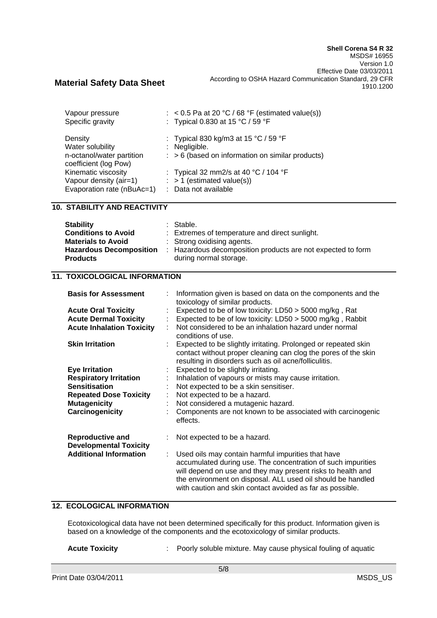| Vapour pressure<br>Specific gravity                                               | $\therefore$ < 0.5 Pa at 20 °C / 68 °F (estimated value(s))<br>: Typical 0.830 at 15 °C / 59 °F                      |
|-----------------------------------------------------------------------------------|----------------------------------------------------------------------------------------------------------------------|
| Density<br>Water solubility<br>n-octanol/water partition<br>coefficient (log Pow) | : Typical 830 kg/m3 at 15 °C / 59 °F<br>: Negligible.<br>$\therefore$ > 6 (based on information on similar products) |
| Kinematic viscosity<br>Vapour density (air=1)<br>Evaporation rate (nBuAc=1)       | : Typical 32 mm2/s at 40 $^{\circ}$ C / 104 $^{\circ}$ F<br>$:$ > 1 (estimated value(s))<br>: Data not available     |

## **10. STABILITY AND REACTIVITY**

| <b>Stability</b>               | : Stable.                                                   |
|--------------------------------|-------------------------------------------------------------|
| <b>Conditions to Avoid</b>     | : Extremes of temperature and direct sunlight.              |
| <b>Materials to Avoid</b>      | : Strong oxidising agents.                                  |
| <b>Hazardous Decomposition</b> | : Hazardous decomposition products are not expected to form |
| <b>Products</b>                | during normal storage.                                      |

### **11. TOXICOLOGICAL INFORMATION**

| <b>Basis for Assessment</b>                                                                    | Information given is based on data on the components and the<br>toxicology of similar products.                                                                                                                                                                                                               |
|------------------------------------------------------------------------------------------------|---------------------------------------------------------------------------------------------------------------------------------------------------------------------------------------------------------------------------------------------------------------------------------------------------------------|
| <b>Acute Oral Toxicity</b><br><b>Acute Dermal Toxicity</b><br><b>Acute Inhalation Toxicity</b> | Expected to be of low toxicity: LD50 > 5000 mg/kg, Rat<br>Expected to be of low toxicity: LD50 > 5000 mg/kg, Rabbit<br>Not considered to be an inhalation hazard under normal<br>conditions of use.                                                                                                           |
| <b>Skin Irritation</b>                                                                         | Expected to be slightly irritating. Prolonged or repeated skin<br>contact without proper cleaning can clog the pores of the skin<br>resulting in disorders such as oil acne/folliculitis.                                                                                                                     |
| <b>Eye Irritation</b>                                                                          | Expected to be slightly irritating.                                                                                                                                                                                                                                                                           |
| <b>Respiratory Irritation</b>                                                                  | Inhalation of vapours or mists may cause irritation.                                                                                                                                                                                                                                                          |
| <b>Sensitisation</b>                                                                           | Not expected to be a skin sensitiser.                                                                                                                                                                                                                                                                         |
| <b>Repeated Dose Toxicity</b>                                                                  | Not expected to be a hazard.                                                                                                                                                                                                                                                                                  |
| <b>Mutagenicity</b>                                                                            | Not considered a mutagenic hazard.                                                                                                                                                                                                                                                                            |
| Carcinogenicity                                                                                | Components are not known to be associated with carcinogenic<br>effects.                                                                                                                                                                                                                                       |
| <b>Reproductive and</b><br><b>Developmental Toxicity</b>                                       | Not expected to be a hazard.                                                                                                                                                                                                                                                                                  |
| <b>Additional Information</b>                                                                  | Used oils may contain harmful impurities that have<br>accumulated during use. The concentration of such impurities<br>will depend on use and they may present risks to health and<br>the environment on disposal. ALL used oil should be handled<br>with caution and skin contact avoided as far as possible. |

## **12. ECOLOGICAL INFORMATION**

Ecotoxicological data have not been determined specifically for this product. Information given is based on a knowledge of the components and the ecotoxicology of similar products.

**Acute Toxicity** : Poorly soluble mixture. May cause physical fouling of aquatic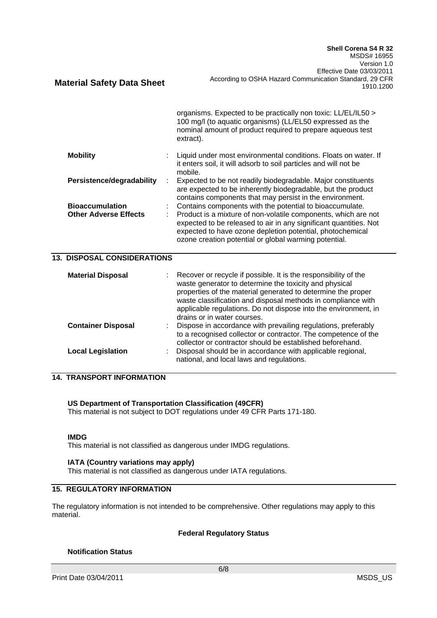|                                                        |    | organisms. Expected to be practically non toxic: LL/EL/IL50 ><br>100 mg/l (to aquatic organisms) (LL/EL50 expressed as the<br>nominal amount of product required to prepare aqueous test<br>extract).                                                                                                                                                       |
|--------------------------------------------------------|----|-------------------------------------------------------------------------------------------------------------------------------------------------------------------------------------------------------------------------------------------------------------------------------------------------------------------------------------------------------------|
| <b>Mobility</b>                                        |    | Liquid under most environmental conditions. Floats on water. If<br>it enters soil, it will adsorb to soil particles and will not be<br>mobile.                                                                                                                                                                                                              |
| Persistence/degradability                              | ÷  | Expected to be not readily biodegradable. Major constituents<br>are expected to be inherently biodegradable, but the product<br>contains components that may persist in the environment.                                                                                                                                                                    |
| <b>Bioaccumulation</b><br><b>Other Adverse Effects</b> | t. | Contains components with the potential to bioaccumulate.<br>Product is a mixture of non-volatile components, which are not<br>expected to be released to air in any significant quantities. Not<br>expected to have ozone depletion potential, photochemical<br>ozone creation potential or global warming potential.                                       |
| <b>13. DISPOSAL CONSIDERATIONS</b>                     |    |                                                                                                                                                                                                                                                                                                                                                             |
| <b>Material Disposal</b>                               |    | Recover or recycle if possible. It is the responsibility of the<br>waste generator to determine the toxicity and physical<br>properties of the material generated to determine the proper<br>waste classification and disposal methods in compliance with<br>applicable regulations. Do not dispose into the environment, in<br>drains or in water courses. |
| Cantaluga Diana                                        |    | Dionaca in casardonac with neavoiling requisions professbly                                                                                                                                                                                                                                                                                                 |

|                           | waste classification and disposal methods in compliance with<br>applicable regulations. Do not dispose into the environment, in<br>drains or in water courses.                               |
|---------------------------|----------------------------------------------------------------------------------------------------------------------------------------------------------------------------------------------|
| <b>Container Disposal</b> | Dispose in accordance with prevailing regulations, preferably<br>to a recognised collector or contractor. The competence of the<br>collector or contractor should be established beforehand. |
| <b>Local Legislation</b>  | Disposal should be in accordance with applicable regional,<br>national, and local laws and regulations.                                                                                      |

## **14. TRANSPORT INFORMATION**

# **US Department of Transportation Classification (49CFR)**

This material is not subject to DOT regulations under 49 CFR Parts 171-180.

### **IMDG**

This material is not classified as dangerous under IMDG regulations.

### **IATA (Country variations may apply)**

This material is not classified as dangerous under IATA regulations.

## **15. REGULATORY INFORMATION**

The regulatory information is not intended to be comprehensive. Other regulations may apply to this material.

### **Federal Regulatory Status**

### **Notification Status**